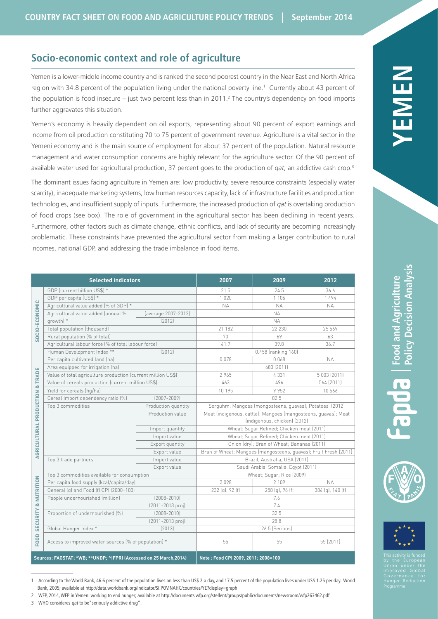# **Socio-economic context and role of agriculture**

Yemen is a lower-middle income country and is ranked the second poorest country in the Near East and North Africa region with 34.8 percent of the population living under the national poverty line.<sup>1</sup> Currently about 43 percent of the population is food insecure – just two percent less than in 2011.<sup>2</sup> The country's dependency on food imports further aggravates this situation.

Yemen's economy is heavily dependent on oil exports, representing about 90 percent of export earnings and income from oil production constituting 70 to 75 percent of government revenue. Agriculture is a vital sector in the Yemeni economy and is the main source of employment for about 37 percent of the population. Natural resource management and water consumption concerns are highly relevant for the agriculture sector. Of the 90 percent of available water used for agricultural production, 37 percent goes to the production of *qat*, an addictive cash crop.3

The dominant issues facing agriculture in Yemen are: low productivity, severe resource constraints (especially water scarcity), inadequate marketing systems, low human resources capacity, lack of infrastructure facilities and production technologies, and insufficient supply of inputs. Furthermore, the increased production of *qat* is overtaking production of food crops (see box). The role of government in the agricultural sector has been declining in recent years. Furthermore, other factors such as climate change, ethnic conflicts, and lack of security are becoming increasingly problematic. These constraints have prevented the agricultural sector from making a larger contribution to rural incomes, national GDP, and addressing the trade imbalance in food items.

| <b>Selected indicators</b>                                               |                                                              |                                     | 2007                                                             | 2009                | 2012             |
|--------------------------------------------------------------------------|--------------------------------------------------------------|-------------------------------------|------------------------------------------------------------------|---------------------|------------------|
| SOCIO-ECONOMIC                                                           | GDP (current billion US\$) *                                 |                                     | 215                                                              | 24.5                | 366              |
|                                                                          | GDP per capita (US\$) *                                      |                                     | 1020                                                             | 1 1 0 6             | 1494             |
|                                                                          | Agricultural value added (% of GDP) *                        |                                     | <b>NA</b>                                                        | <b>NA</b>           | <b>NA</b>        |
|                                                                          | Agricultural value added (annual %                           | (average 2007-2012)                 | <b>NA</b>                                                        |                     |                  |
|                                                                          | growth) *                                                    | [2012]                              | <b>NA</b>                                                        |                     |                  |
|                                                                          | Total population (thousand)                                  |                                     | 21 182                                                           | 22 230              | 25 569           |
|                                                                          | Rural population (% of total)                                |                                     | 70                                                               | 69                  | 63               |
|                                                                          | Agricultural labour force (% of total labour force)          |                                     | 41.7                                                             | 39.8                | 36.7             |
|                                                                          | Human Development Index **                                   | [2012]                              |                                                                  | 0.458 (ranking 160) |                  |
|                                                                          | Per capita cultivated land (ha)                              |                                     | 0.078                                                            | 0.068               | <b>NA</b>        |
| & TRADE<br>AGRICULTURAL PRODUCTION<br>NUTRITION<br>øδ<br><b>SECURITY</b> | Area equipped for irrigation (ha)                            |                                     | 680 (2011)                                                       |                     |                  |
|                                                                          | Value of total agriculture production (current million US\$) |                                     | 2965                                                             | 4331                | 5 003 (2011)     |
|                                                                          | Value of cereals production (current million US\$)           |                                     | 463                                                              | 496                 | 564 (2011)       |
|                                                                          | Yield for cereals (hg/ha)                                    |                                     | 10 195                                                           | 9952                | 10566            |
|                                                                          | Cereal import dependency ratio [%]                           | $[2007 - 2009]$                     | 82.5                                                             |                     |                  |
|                                                                          | Top 3 commodities                                            | Production quantity                 | Sorguhm; Mangoes (mongosteens, guavas); Potatoes (2012)          |                     |                  |
|                                                                          |                                                              | Production value                    | Meat (indigenous, cattle); Mangoes (mangosteens, guavas); Meat   |                     |                  |
|                                                                          |                                                              |                                     | (indigenous, chicken) (2012)                                     |                     |                  |
|                                                                          |                                                              | Import quantity                     | Wheat; Sugar Refined; Chicken meat (2011)                        |                     |                  |
|                                                                          |                                                              | Import value                        | Wheat; Sugar Refined; Chicken meat (2011)                        |                     |                  |
|                                                                          |                                                              | Export quantity                     | Onion (dry); Bran of Wheat; Bananas (2011)                       |                     |                  |
|                                                                          |                                                              | Export value                        | Bran of Wheat; Mangoes (mangosteens, guavas); Fruit Fresh (2011) |                     |                  |
|                                                                          | Top 3 trade partners                                         | Import value                        | Brazil, Australia, USA (2011)                                    |                     |                  |
|                                                                          |                                                              | Export value                        | Saudi Arabia, Somalia, Egypt (2011)                              |                     |                  |
|                                                                          | Top 3 commodities available for consumption                  |                                     | Wheat; Sugar; Rice (2009)                                        |                     |                  |
|                                                                          | Per capita food supply (kcal/capita/day)                     |                                     | 2098                                                             | 2 109               | <b>NA</b>        |
|                                                                          | General (q) and Food (f) CPI (2000=100)                      |                                     | 232 (g), 92 (f)                                                  | 258 (q), 96 (f)     | 384 (g), 140 (f) |
|                                                                          | People undernourished (million)                              | $(2008 - 2010)$                     | 7.6                                                              |                     |                  |
|                                                                          |                                                              | $(2011 - 2013 \text{ proj})$        | 7.4                                                              |                     |                  |
|                                                                          | Proportion of undernourished (%)                             | $(2008 - 2010)$                     | 32.5                                                             |                     |                  |
|                                                                          |                                                              | $(2011 - 2013 \text{ proj})$        | 28.8                                                             |                     |                  |
|                                                                          | Global Hunger Index ^                                        | [2013]                              | 26.5 (Serious)                                                   |                     |                  |
| FOOD                                                                     | Access to improved water sources (% of population) *         |                                     | 55                                                               | 55                  | 55 (2011)        |
| Sources: FAOSTAT; *WB; ** UNDP; ^IFPRI (Accessed on 25 March, 2014)      |                                                              | Note: Food CPI 2009, 2011: 2008=100 |                                                                  |                     |                  |

1 According to the World Bank, 46.6 percent of the population lives on less than US\$ 2 a day, and 17.5 percent of the population lives under US\$ 1.25 per day. World Bank, 2005; available at<http://data.worldbank.org/indicator/SI.POV.NAHC/countries/YE?display=graph>

| This activity is funded<br>by the European<br>Union under the<br>Improved Global<br>Governance for<br>Hunger Reduction<br>Programme |
|-------------------------------------------------------------------------------------------------------------------------------------|

<sup>2</sup> WFP, 2014, WFP in Yemen: working to end hunger; available at<http://documents.wfp.org/stellent/groups/public/documents/newsroom/wfp263462.pdf>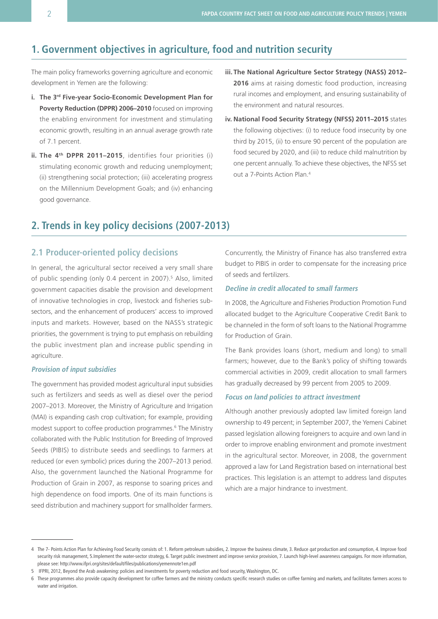# **1. Government objectives in agriculture, food and nutrition security**

The main policy frameworks governing agriculture and economic development in Yemen are the following:

- **i. The 3rd Five-year Socio-Economic Development Plan for Poverty Reduction (DPPR) 2006–2010** focused on improving the enabling environment for investment and stimulating economic growth, resulting in an annual average growth rate of 7.1 percent.
- **ii.** The 4<sup>th</sup> DPPR 2011-2015, identifies four priorities (i) stimulating economic growth and reducing unemployment; (ii) strengthening social protection; (iii) accelerating progress on the Millennium Development Goals; and (iv) enhancing good governance.
- **iii. The National Agriculture Sector Strategy (NASS) 2012– 2016** aims at raising domestic food production, increasing rural incomes and employment, and ensuring sustainability of the environment and natural resources.
- **iv. National Food Security Strategy (NFSS) 2011–2015** states the following objectives: (i) to reduce food insecurity by one third by 2015, (ii) to ensure 90 percent of the population are food secured by 2020, and (iii) to reduce child malnutrition by one percent annually. To achieve these objectives, the NFSS set out a 7-Points Action Plan.4

# **2. Trends in key policy decisions (2007-2013)**

## **2.1 Producer-oriented policy decisions**

In general, the agricultural sector received a very small share of public spending (only 0.4 percent in 2007).<sup>5</sup> Also, limited government capacities disable the provision and development of innovative technologies in crop, livestock and fisheries subsectors, and the enhancement of producers' access to improved inputs and markets. However, based on the NASS's strategic priorities, the government is trying to put emphasis on rebuilding the public investment plan and increase public spending in agriculture.

#### **Provision of input subsidies**

The government has provided modest agricultural input subsidies such as fertilizers and seeds as well as diesel over the period 2007–2013. Moreover, the Ministry of Agriculture and Irrigation (MAI) is expanding cash crop cultivation; for example, providing modest support to coffee production programmes.<sup>6</sup> The Ministry collaborated with the Public Institution for Breeding of Improved Seeds (PIBIS) to distribute seeds and seedlings to farmers at reduced (or even symbolic) prices during the 2007–2013 period. Also, the government launched the National Programme for Production of Grain in 2007, as response to soaring prices and high dependence on food imports. One of its main functions is seed distribution and machinery support for smallholder farmers.

Concurrently, the Ministry of Finance has also transferred extra budget to PIBIS in order to compensate for the increasing price of seeds and fertilizers.

### **Decline in credit allocated to small farmers**

In 2008, the Agriculture and Fisheries Production Promotion Fund allocated budget to the Agriculture Cooperative Credit Bank to be channeled in the form of soft loans to the National Programme for Production of Grain.

The Bank provides loans (short, medium and long) to small farmers; however, due to the Bank's policy of shifting towards commercial activities in 2009, credit allocation to small farmers has gradually decreased by 99 percent from 2005 to 2009.

#### **Focus on land policies to attract investment**

Although another previously adopted law limited foreign land ownership to 49 percent; in September 2007, the Yemeni Cabinet passed legislation allowing foreigners to acquire and own land in order to improve enabling environment and promote investment in the agricultural sector. Moreover, in 2008, the government approved a law for Land Registration based on international best practices. This legislation is an attempt to address land disputes which are a major hindrance to investment.

<sup>4</sup> The 7- Points Action Plan for Achieving Food Security consists of: 1. Reform petroleum subsidies, 2. Improve the business climate, 3. Reduce qat production and consumption, 4. Improve food security risk management, 5.Implement the water-sector strategy, 6. Target public investment and improve service provision, 7. Launch high-level awareness campaigns. For more information, please see: <http://www.ifpri.org/sites/default/files/publications/yemennote1en.pdf>

<sup>5</sup> IFPRI, 2012, Beyond the Arab awakening: policies and investments for poverty reduction and food security, Washington, DC.

<sup>6</sup> These programmes also provide capacity development for coffee farmers and the ministry conducts specific research studies on coffee farming and markets, and facilitates farmers access to water and irrigation.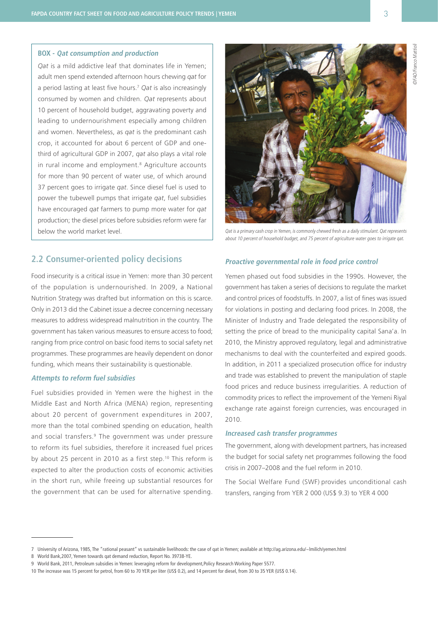#### **BOX - Qat consumption and production**

*Qat* is a mild addictive leaf that dominates life in Yemen; adult men spend extended afternoon hours chewing *qat* for a period lasting at least five hours.7 *Qat* is also increasingly consumed by women and children. *Qat* represents about 10 percent of household budget, aggravating poverty and leading to undernourishment especially among children and women. Nevertheless, as *qat* is the predominant cash crop, it accounted for about 6 percent of GDP and onethird of agricultural GDP in 2007, *qat* also plays a vital role in rural income and employment.<sup>8</sup> Agriculture accounts for more than 90 percent of water use, of which around 37 percent goes to irrigate *qat*. Since diesel fuel is used to power the tubewell pumps that irrigate *qat*, fuel subsidies have encouraged *qat* farmers to pump more water for *qat* production; the diesel prices before subsidies reform were far below the world market level. Qat is a primary cash crop in Yemen, is commonly chewed fresh as a daily stimulant. Qat represents



about 10 percent of household budget, and 75 percent of agriculture water goes to irrigate qat.

## **2.2 Consumer-oriented policy decisions**

Food insecurity is a critical issue in Yemen: more than 30 percent of the population is undernourished. In 2009, a National Nutrition Strategy was drafted but information on this is scarce. Only in 2013 did the Cabinet issue a decree concerning necessary measures to address widespread malnutrition in the country. The government has taken various measures to ensure access to food; ranging from price control on basic food items to social safety net programmes. These programmes are heavily dependent on donor funding, which means their sustainability is questionable.

#### **Attempts to reform fuel subsidies**

Fuel subsidies provided in Yemen were the highest in the Middle East and North Africa (MENA) region, representing about 20 percent of government expenditures in 2007, more than the total combined spending on education, health and social transfers.<sup>9</sup> The government was under pressure to reform its fuel subsidies, therefore it increased fuel prices by about 25 percent in 2010 as a first step.<sup>10</sup> This reform is expected to alter the production costs of economic activities in the short run, while freeing up substantial resources for the government that can be used for alternative spending.

#### **Proactive governmental role in food price control**

Yemen phased out food subsidies in the 1990s. However, the government has taken a series of decisions to regulate the market and control prices of foodstuffs. In 2007, a list of fines was issued for violations in posting and declaring food prices. In 2008, the Minister of Industry and Trade delegated the responsibility of setting the price of bread to the municipality capital Sana'a. In 2010, the Ministry approved regulatory, legal and administrative mechanisms to deal with the counterfeited and expired goods. In addition, in 2011 a specialized prosecution office for industry and trade was established to prevent the manipulation of staple food prices and reduce business irregularities. A reduction of commodity prices to reflect the improvement of the Yemeni Riyal exchange rate against foreign currencies, was encouraged in 2010.

#### **Increased cash transfer programmes**

The government, along with development partners, has increased the budget for social safety net programmes following the food crisis in 2007–2008 and the fuel reform in 2010.

The Social Welfare Fund (SWF) provides unconditional cash transfers, ranging from YER 2 000 (US\$ 9.3) to YER 4 000

8 World Bank,2007, Yemen towards qat demand reduction, Report No. 39738-YE.

<sup>7</sup> University of Arizona, 1985, The "rational peasant" vs sustainable livelihoods: the case of qat in Yemen; available at <http://ag.arizona.edu/~lmilich/yemen.html>

<sup>9</sup> World Bank, 2011, Petroleum subsidies in Yemen: leveraging reform for development,Policy Research Working Paper 5577.

<sup>10</sup> The increase was 15 percent for petrol, from 60 to 70 YER per liter (US\$ 0.2), and 14 percent for diesel, from 30 to 35 YER (US\$ 0.14).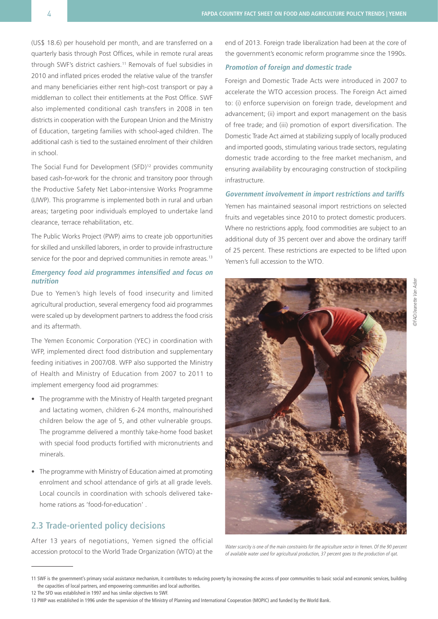(US\$ 18.6) per household per month, and are transferred on a quarterly basis through Post Offices, while in remote rural areas through SWF's district cashiers.11 Removals of fuel subsidies in 2010 and inflated prices eroded the relative value of the transfer and many beneficiaries either rent high-cost transport or pay a middleman to collect their entitlements at the Post Office. SWF also implemented conditional cash transfers in 2008 in ten districts in cooperation with the European Union and the Ministry of Education, targeting families with school-aged children. The additional cash is tied to the sustained enrolment of their children in school.

The Social Fund for Development (SFD)<sup>12</sup> provides community based cash-for-work for the chronic and transitory poor through the Productive Safety Net Labor-intensive Works Programme (LIWP). This programme is implemented both in rural and urban areas; targeting poor individuals employed to undertake land clearance, terrace rehabilitation, etc.

The Public Works Project (PWP) aims to create job opportunities for skilled and unskilled laborers, in order to provide infrastructure service for the poor and deprived communities in remote areas.<sup>13</sup>

### **Emergency food aid programmes intensified and focus on nutrition**

Due to Yemen's high levels of food insecurity and limited agricultural production, several emergency food aid programmes were scaled up by development partners to address the food crisis and its aftermath.

The Yemen Economic Corporation (YEC) in coordination with WFP, implemented direct food distribution and supplementary feeding initiatives in 2007/08. WFP also supported the Ministry of Health and Ministry of Education from 2007 to 2011 to implement emergency food aid programmes:

- The programme with the Ministry of Health targeted pregnant and lactating women, children 6-24 months, malnourished children below the age of 5, and other vulnerable groups. The programme delivered a monthly take-home food basket with special food products fortified with micronutrients and minerals.
- The programme with Ministry of Education aimed at promoting enrolment and school attendance of girls at all grade levels. Local councils in coordination with schools delivered takehome rations as 'food-for-education' .

## **2.3 Trade-oriented policy decisions**

After 13 years of negotiations, Yemen signed the official accession protocol to the World Trade Organization (WTO) at the end of 2013. Foreign trade liberalization had been at the core of the government's economic reform programme since the 1990s.

### **Promotion of foreign and domestic trade**

Foreign and Domestic Trade Acts were introduced in 2007 to accelerate the WTO accession process. The Foreign Act aimed to: (i) enforce supervision on foreign trade, development and advancement; (ii) import and export management on the basis of free trade; and (iii) promotion of export diversification. The Domestic Trade Act aimed at stabilizing supply of locally produced and imported goods, stimulating various trade sectors, regulating domestic trade according to the free market mechanism, and ensuring availability by encouraging construction of stockpiling infrastructure.

#### **Government involvement in import restrictions and tariffs**

Yemen has maintained seasonal import restrictions on selected fruits and vegetables since 2010 to protect domestic producers. Where no restrictions apply, food commodities are subject to an additional duty of 35 percent over and above the ordinary tariff of 25 percent. These restrictions are expected to be lifted upon Yemen's full accession to the WTO.



Water scarcity is one of the main constraints for the agriculture sector in Yemen. Of the 90 percent of available water used for agricultural production, 37 percent goes to the production of qat.

<sup>11</sup> SWF is the government's primary social assistance mechanism, it contributes to reducing poverty by increasing the access of poor communities to basic social and economic services, building the capacities of local partners, and empowering communities and local authorities.

<sup>12</sup> The SFD was established in 1997 and has similar objectives to SWF.

<sup>13</sup> PWP was established in 1996 under the supervision of the Ministry of Planning and International Cooperation (MOPIC) and funded by the World Bank.